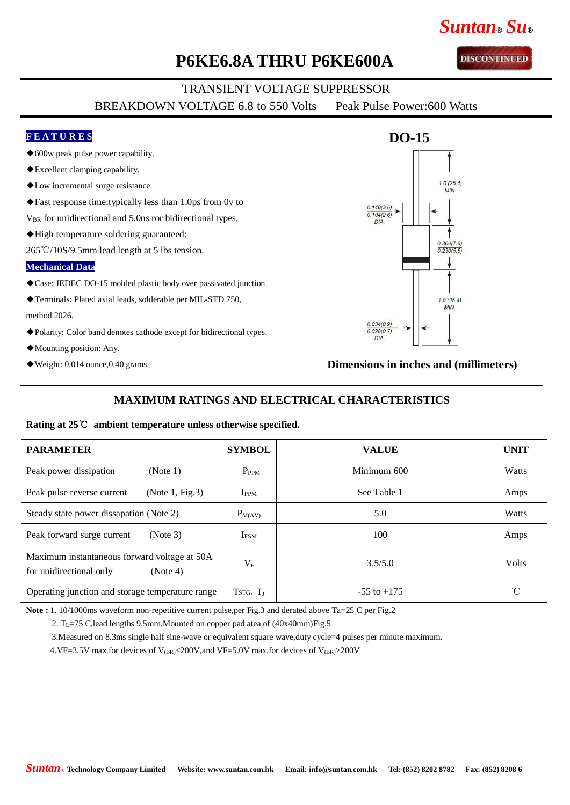## **P6KE6.8A THRU P6KE600A**

## TRANSIENT VOLTAGE SUPPRESSOR

BREAKDOWN VOLTAGE 6.8 to 550 Volts Peak Pulse Power:600 Watts

#### **F E A T U R E S**

- ◆600w peak pulse power capability.
- ◆Excellent clamping capability.
- ◆Low incremental surge resistance.
- ◆Fast response time:typically less than 1.0ps from 0v to
- V<sub>BR</sub> for unidirectional and 5.0ns ror bidirectional types.
- ◆High temperature soldering guaranteed:
- 265℃/10S/9.5mm lead length at 5 lbs tension.

### **Mechanical Data**

- ◆Case: JEDEC DO-15 molded plastic body over passivated junction.
- ◆Terminals: Plated axial leads, solderable per MIL-STD 750,
- method 2026.
- ◆Polarity: Color band denotes cathode except for bidirectional types.
- ◆Mounting position: Any.
- $\blacklozenge$  Weight: 0.014 ounce, 0.40 grams.

## **Dimensions in inches and (millimeters)**

#### **MAXIMUM RATINGS AND ELECTRICAL CHARACTERISTICS**

#### **Rating at 25**℃ **ambient temperature unless otherwise specified.**

| <b>PARAMETER</b>                                                                    | <b>SYMBOL</b>    | <b>VALUE</b>    | <b>UNIT</b>  |
|-------------------------------------------------------------------------------------|------------------|-----------------|--------------|
| Peak power dissipation<br>(Note 1)                                                  | $P_{PPM}$        | Minimum 600     | <b>Watts</b> |
| (Note 1, Fig.3)<br>Peak pulse reverse current                                       | $I_{PPM}$        | See Table 1     | Amps         |
| Steady state power dissapation (Note 2)                                             | $P_{M(AV)}$      | 5.0             | Watts        |
| Peak forward surge current<br>(Note 3)                                              | I <sub>FSM</sub> | 100             | Amps         |
| Maximum instantaneous forward voltage at 50A<br>for unidirectional only<br>(Note 4) | $V_{\rm F}$      | 3.5/5.0         | <b>Volts</b> |
| Operating junction and storage temperature range                                    | $TSTG$ , $T_I$   | $-55$ to $+175$ | °C           |

**Note :** 1. 10/1000ms waveform non-repetitive current pulse,per Fig.3 and derated above Ta=25 C per Fig.2

2. T<sub>L</sub>=75 C,lead lengths 9.5mm,Mounted on copper pad atea of (40x40mm)Fig.5

3.Measured on 8.3ms single half sine-wave or equivalent square wave,duty cycle=4 pulses per minute maximum.

4.VF=3.5V max.for devices of  $V_{\rm (BR)}$  <200V, and VF=5.0V max.for devices of  $V_{\rm (BR)}$  >200V



*Suntan***®** *Su***®**

**DISCONTINUED**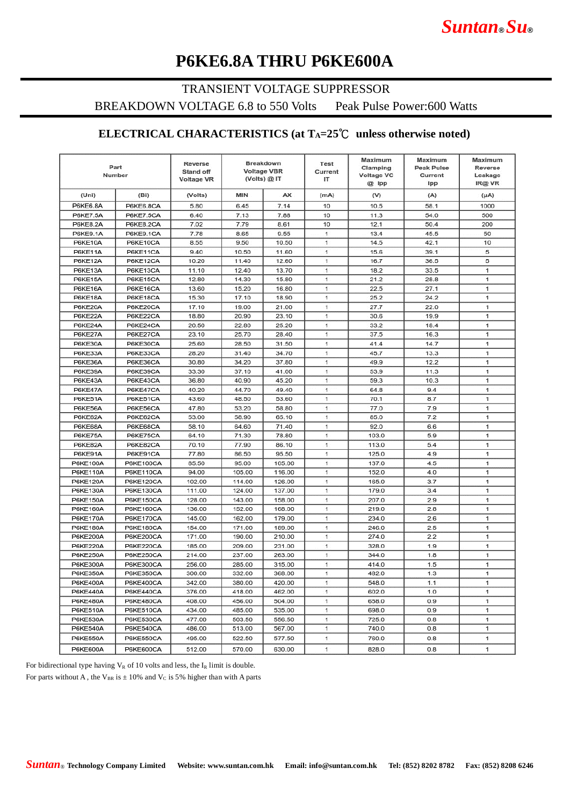# *Suntan***®** *Su***®**

# **P6KE6.8A THRU P6KE600A**

### TRANSIENT VOLTAGE SUPPRESSOR

BREAKDOWN VOLTAGE 6.8 to 550 Volts Peak Pulse Power:600 Watts

## **ELECTRICAL CHARACTERISTICS (at TA=25**℃ **unless otherwise noted)**

|                 | <b>Breakdown</b><br>Reverse<br>Part<br><b>Voltage VBR</b><br><b>Stand off</b><br>Number<br>(Volts) @ IT<br><b>Voltage VR</b> |         | <b>Test</b><br>Current<br>IT | Maximum<br>Clamping<br><b>Voltage VC</b><br>@ Ipp | Maximum<br><b>Peak Pulse</b><br>Current<br>Ipp | Maximum<br><b>Reverse</b><br>Leakage<br>IR@ VR |      |      |
|-----------------|------------------------------------------------------------------------------------------------------------------------------|---------|------------------------------|---------------------------------------------------|------------------------------------------------|------------------------------------------------|------|------|
| (Uni)           | (Bi)                                                                                                                         | (Volts) | MIN                          | AX                                                | (mA)                                           | (V)                                            | (A)  | (µA) |
| <b>P6KE6.8A</b> | P6KE6.8CA                                                                                                                    | 5.80    | 6.45                         | 7.14                                              | 10                                             | 10.5                                           | 58.1 | 1000 |
| <b>P6KE7.5A</b> | <b>P6KE7.5CA</b>                                                                                                             | 6.40    | 7.13                         | 7.88                                              | 10                                             | 11.3                                           | 54.0 | 500  |
| <b>P6KE8.2A</b> | P6KE8.2CA                                                                                                                    | 7.02    | 7.79                         | 8.61                                              | 10                                             | 12.1                                           | 50.4 | 200  |
| <b>P6KE9.1A</b> | P6KE9.1CA                                                                                                                    | 7.78    | 8.65                         | 9.55                                              | 1                                              | 13.4                                           | 45.5 | 50   |
| P6KE10A         | P6KE10CA                                                                                                                     | 8.55    | 9.50                         | 10.50                                             | 1                                              | 14.5                                           | 42.1 | 10   |
| P6KE11A         | P6KE11CA                                                                                                                     | 9.40    | 10.50                        | 11.60                                             | 1                                              | 15.6                                           | 39.1 | 5    |
| P6KE12A         | P6KE12CA                                                                                                                     | 10.20   | 11.40                        | 12.60                                             | 1                                              | 16.7                                           | 36.5 | 5    |
| P6KE13A         | P6KE13CA                                                                                                                     | 11.10   | 12.40                        | 13.70                                             | 1.                                             | 18.2                                           | 33.5 | 1    |
| P6KE15A         | P6KE15CA                                                                                                                     | 12.80   | 14.30                        | 15.80                                             | 1                                              | 21.2                                           | 28.8 | 1    |
| P6KE16A         | P6KE16CA                                                                                                                     | 13.60   | 15.20                        | 16.80                                             | $\mathbf{1}$                                   | 22.5                                           | 27.1 | 1    |
| P6KE18A         | P6KE18CA                                                                                                                     | 15.30   | 17.10                        | 18.90                                             | 1                                              | 25.2                                           | 24.2 | 1    |
| P6KE20A         | P6KE20CA                                                                                                                     | 17.10   | 19.00                        | 21.00                                             | 1                                              | 27.7                                           | 22.0 | 1    |
| P6KE22A         | P6KE22CA                                                                                                                     | 18.80   | 20.90                        | 23.10                                             | 1                                              | 30.6                                           | 19.9 | 1    |
| P6KE24A         | P6KE24CA                                                                                                                     | 20.50   | 22.80                        | 25.20                                             | $\mathbf{1}$                                   | 33.2                                           | 18.4 | 1    |
| P6KE27A         | P6KE27CA                                                                                                                     | 23.10   | 25.70                        | 28.40                                             | 1.                                             | 37.5                                           | 16.3 | 1    |
| P6KE30A         | P6KE30CA                                                                                                                     | 25.60   | 28.50                        | 31.50                                             | 1                                              | 41.4                                           | 14.7 | 1    |
| P6KE33A         | P6KE33CA                                                                                                                     | 28.20   | 31.40                        | 34.70                                             | 1                                              | 45.7                                           | 13.3 | 1    |
| P6KE36A         | P6KE36CA                                                                                                                     | 30.80   | 34.20                        | 37.80                                             | 1                                              | 49.9                                           | 12.2 | 1    |
| P6KE39A         | P6KE39CA                                                                                                                     | 33.30   | 37.10                        | 41.00                                             | 1                                              | 53.9                                           | 11.3 | 1    |
| P6KE43A         | P6KE43CA                                                                                                                     | 36.80   | 40.90                        | 45.20                                             | 1.                                             | 59.3                                           | 10.3 | 1    |
| P6KE47A         | P6KE47CA                                                                                                                     | 40.20   | 44.70                        | 49.40                                             | 1                                              | 64.8                                           | 9.4  | 1    |
| P6KE51A         | P6KE51CA                                                                                                                     | 43.60   | 48.50                        | 53.60                                             | 1                                              | 70.1                                           | 8.7  | 1    |
| P6KE56A         | P6KE56CA                                                                                                                     | 47.80   | 53.20                        | 58.80                                             | 1                                              | 77.0                                           | 7.9  | 1    |
| P6KE62A         | P6KE62CA                                                                                                                     | 53.00   | 58.90                        | 65.10                                             | 1                                              | 85.0                                           | 7.2  | 1    |
| P6KE68A         | P6KE68CA                                                                                                                     | 58.10   | 64.60                        | 71.40                                             | 1                                              | 92.0                                           | 6.6  | 1    |
| P6KE75A         | P6KE75CA                                                                                                                     | 64.10   | 71.30                        | 78.80                                             | $\mathbf{1}$                                   | 103.0                                          | 5.9  | 1    |
| P6KE82A         | P6KE82CA                                                                                                                     | 70.10   | 77.90                        | 86.10                                             | 1                                              | 113.0                                          | 5.4  | 1    |
| P6KE91A         | P6KE91CA                                                                                                                     | 77.80   | 86.50                        | 95.50                                             | 1                                              | 125.0                                          | 4.9  | 1    |
| <b>P6KE100A</b> | <b>P6KE100CA</b>                                                                                                             | 85.50   | 95.00                        | 105.00                                            | 1                                              | 137.0                                          | 4.5  | 1.   |
| <b>P6KE110A</b> | P6KE110CA                                                                                                                    | 94.00   | 105.00                       | 116.00                                            | 1.                                             | 152.0                                          | 4.0  | 1    |
| P6KE120A        | <b>P6KE120CA</b>                                                                                                             | 102.00  | 114.00                       | 126.00                                            | 1                                              | 165.0                                          | 3.7  | 1    |
| <b>P6KE130A</b> | <b>P6KE130CA</b>                                                                                                             | 111.00  | 124.00                       | 137.00                                            | $\mathbf{1}$                                   | 179.0                                          | 3.4  | 1    |
| P6KE150A        | P6KE150CA                                                                                                                    | 128.00  | 143.00                       | 158.00                                            | $\ddot{\phantom{1}}$                           | 207.0                                          | 2.9  | 1    |
| P6KE160A        | <b>P6KE160CA</b>                                                                                                             | 136.00  | 152.00                       | 168.00                                            | 1                                              | 219.0                                          | 2.8  | 1    |
| <b>P6KE170A</b> | P6KE170CA                                                                                                                    | 145.00  | 162.00                       | 179.00                                            | 1                                              | 234.0                                          | 2.6  | 1    |
| <b>P6KE180A</b> | <b>P6KE180CA</b>                                                                                                             | 154.00  | 171.00                       | 189.00                                            | 1                                              | 246.0                                          | 2.5  | 1    |
| <b>P6KE200A</b> | <b>P6KE200CA</b>                                                                                                             | 171.00  | 190.00                       | 210.00                                            | 1                                              | 274.0                                          | 2.2  | 1    |
| <b>P6KE220A</b> | P6KE220CA                                                                                                                    | 185.00  | 209.00                       | 231.00                                            | $\mathbf{1}$                                   | 328.0                                          | 1.9  | T.   |
| <b>P6KE250A</b> | <b>P6KE250CA</b>                                                                                                             | 214.00  | 237.00                       | 263.00                                            | 1                                              | 344.0                                          | 1.8  | 1    |
| P6KE300A        | <b>P6KE300CA</b>                                                                                                             | 256.00  | 285.00                       | 315.00                                            | 1                                              | 414.0                                          | 1.5  | 1    |
| <b>P6KE350A</b> | <b>P6KE350CA</b>                                                                                                             | 300.00  | 332.00                       | 368.00                                            | 1                                              | 482.0                                          | 1.3  | 1    |
| P6KE400A        | P6KE400CA                                                                                                                    | 342.00  | 380.00                       | 420.00                                            |                                                | 548.0                                          | 1.1  |      |
| <b>P6KE440A</b> | P6KE440CA                                                                                                                    | 376.00  | 418.00                       | 462.00                                            | $\mathbf{1}$                                   | 602.0                                          | 1.0  | 1.   |
| P6KE480A        | <b>P6KE480CA</b>                                                                                                             | 408.00  | 456.00                       | 504.00                                            | 1                                              | 658.0                                          | 0.9  | 1.   |
| P6KE510A        | P6KE510CA                                                                                                                    | 434.00  | 485.00                       | 535.00                                            | 1.                                             | 698.0                                          | 0.9  | 1.   |
| <b>P6KE530A</b> | <b>P6KE530CA</b>                                                                                                             | 477.00  | 503.50                       | 556.50                                            | $\mathbf{1}$                                   | 725.0                                          | 0.8  | 1    |
| P6KE540A        | P6KE540CA                                                                                                                    | 486.00  | 513.00                       | 567.00                                            | $\mathbf{1}$                                   | 740.0                                          | 0.8  | 1    |
| P6KE550A        | <b>P6KE550CA</b>                                                                                                             | 495.00  | 522.50                       | 577.50                                            | $\mathbf{1}$                                   | 760.0                                          | 0.8  | 1.   |
| P6KE600A        | <b>P6KE600CA</b>                                                                                                             | 512.00  | 570.00                       | 630.00                                            | $\mathbf{1}$                                   | 828.0                                          | 0.8  | 1    |

For bidirectional type having  $V_R$  of 10 volts and less, the  $I_R$  limit is double. For parts without A, the V<sub>BR</sub> is  $\pm$  10% and V<sub>C</sub> is 5% higher than with A parts